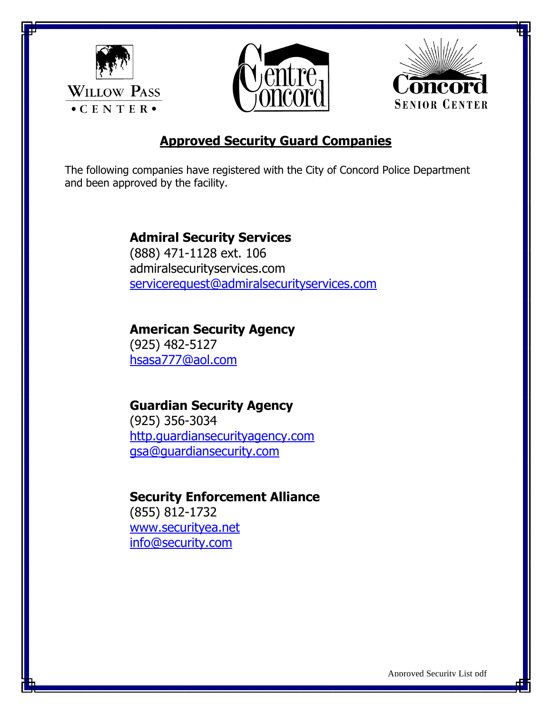





# **Approved Security Guard Companies**

The following companies have registered with the City of Concord Police Department and been approved by the facility.

### **Admiral Security Services**

(888) 471-1128 ext. 106 admiralsecurityservices.com [servicerequest@admiralsecurityservices.com](mailto:servicerequest@admiralsecurityservices.com)

## **American Security Agency**

(925) 482-5127 [hsasa777@aol.com](mailto:hsasa777@aol.com)

## **Guardian Security Agency**

(925) 356-3034 [http.guardiansecurityagency.com](http://www.guardiansecurityagency.com/) [gsa@guardiansecurity.com](mailto:gsa@guardiansecurity.com)

### **Security Enforcement Alliance**

(855) 812-1732 [www.securityea.net](http://www.securityea.net/) [info@security.com](mailto:info@security.com)

Approved Security List pdf